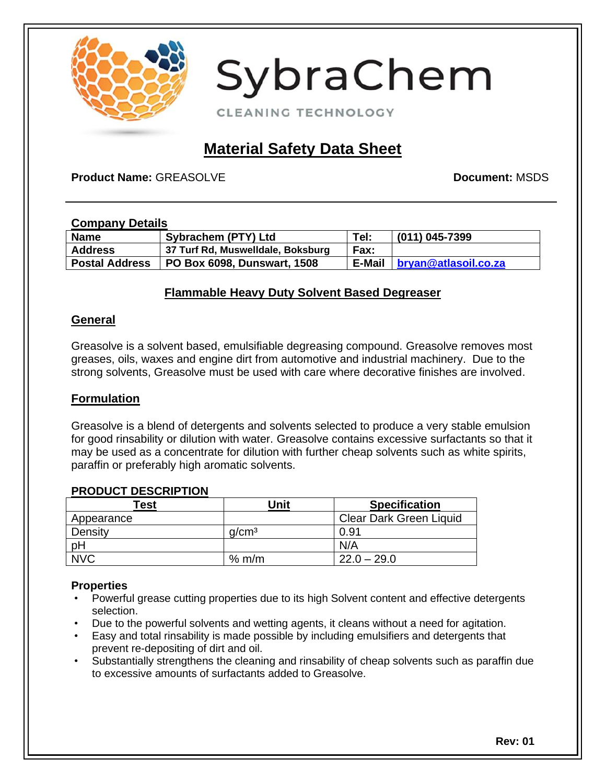

CLEANING TECHNOLOGY

## **Material Safety Data Sheet**

**Product Name:** GREASOLVE **Document: <b>Document:** MSDS

#### **Company Details**

| <b>Name</b>           | Sybrachem (PTY) Ltd               | Tel:        | (011) 045-7399                |
|-----------------------|-----------------------------------|-------------|-------------------------------|
| <b>Address</b>        | 37 Turf Rd, Muswelldale, Boksburg | <b>Fax:</b> |                               |
| <b>Postal Address</b> | PO Box 6098, Dunswart, 1508       |             | E-Mail   bryan@atlasoil.co.za |

#### **Flammable Heavy Duty Solvent Based Degreaser**

#### **General**

Greasolve is a solvent based, emulsifiable degreasing compound. Greasolve removes most greases, oils, waxes and engine dirt from automotive and industrial machinery. Due to the strong solvents, Greasolve must be used with care where decorative finishes are involved.

#### **Formulation**

Greasolve is a blend of detergents and solvents selected to produce a very stable emulsion for good rinsability or dilution with water. Greasolve contains excessive surfactants so that it may be used as a concentrate for dilution with further cheap solvents such as white spirits, paraffin or preferably high aromatic solvents.

#### **PRODUCT DESCRIPTION**

| Геst       | Unit              | <b>Specification</b>    |
|------------|-------------------|-------------------------|
| Appearance |                   | Clear Dark Green Liquid |
| Density    | q/cm <sup>3</sup> | 0.91                    |
| pH         |                   | N/A                     |
| <b>NVC</b> | $%$ m/m           | $22.0 - 29.0$           |

#### **Properties**

- Powerful grease cutting properties due to its high Solvent content and effective detergents selection.
- Due to the powerful solvents and wetting agents, it cleans without a need for agitation.
- Easy and total rinsability is made possible by including emulsifiers and detergents that prevent re-depositing of dirt and oil.
- Substantially strengthens the cleaning and rinsability of cheap solvents such as paraffin due to excessive amounts of surfactants added to Greasolve.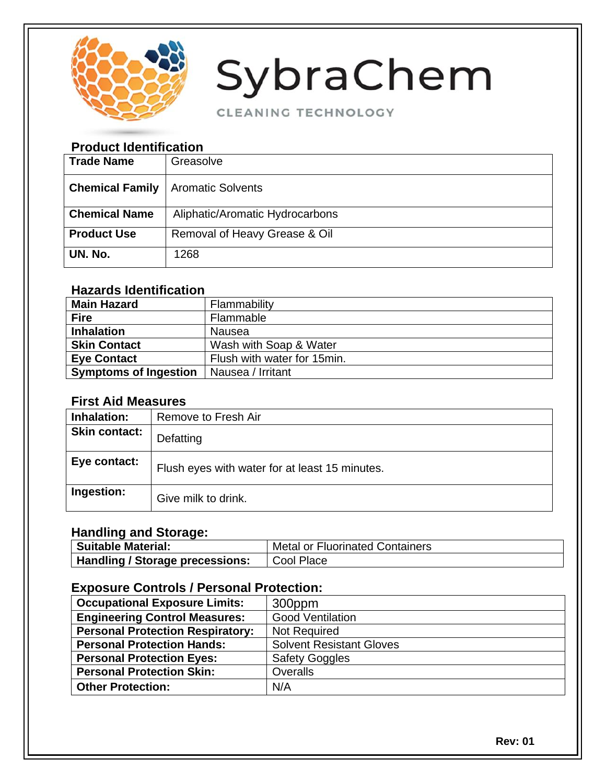

CLEANING TECHNOLOGY

## **Product Identification**

| <b>Trade Name</b>      | Greasolve                       |
|------------------------|---------------------------------|
| <b>Chemical Family</b> | <b>Aromatic Solvents</b>        |
| <b>Chemical Name</b>   | Aliphatic/Aromatic Hydrocarbons |
| <b>Product Use</b>     | Removal of Heavy Grease & Oil   |
| UN. No.                | 1268                            |

## **Hazards Identification**

| <b>Main Hazard</b>           | Flammability                |
|------------------------------|-----------------------------|
| <b>Fire</b>                  | Flammable                   |
| <b>Inhalation</b>            | Nausea                      |
| <b>Skin Contact</b>          | Wash with Soap & Water      |
| <b>Eye Contact</b>           | Flush with water for 15min. |
| <b>Symptoms of Ingestion</b> | Nausea / Irritant           |

### **First Aid Measures**

| Inhalation:          | Remove to Fresh Air                            |
|----------------------|------------------------------------------------|
| <b>Skin contact:</b> | Defatting                                      |
| Eye contact:         | Flush eyes with water for at least 15 minutes. |
| Ingestion:           | Give milk to drink.                            |

## **Handling and Storage:**

| Suitable Material:              | <b>Metal or Fluorinated Containers</b> |
|---------------------------------|----------------------------------------|
| Handling / Storage precessions: | I Cool Place                           |

### **Exposure Controls / Personal Protection:**

| <b>Occupational Exposure Limits:</b>                      | 300ppm                          |  |
|-----------------------------------------------------------|---------------------------------|--|
| <b>Engineering Control Measures:</b>                      | <b>Good Ventilation</b>         |  |
| <b>Personal Protection Respiratory:</b>                   | <b>Not Required</b>             |  |
| <b>Personal Protection Hands:</b>                         | <b>Solvent Resistant Gloves</b> |  |
| <b>Safety Goggles</b><br><b>Personal Protection Eyes:</b> |                                 |  |
| <b>Personal Protection Skin:</b>                          | Overalls                        |  |
| <b>Other Protection:</b>                                  | N/A                             |  |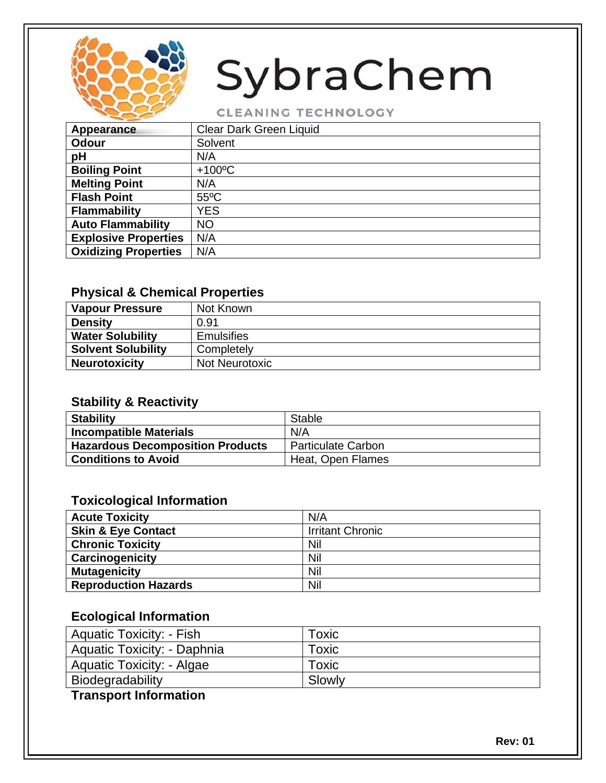

CLEANING TECHNOLOGY

| Appearance                  | <b>Clear Dark Green Liquid</b> |
|-----------------------------|--------------------------------|
| Odour                       | Solvent                        |
| pH                          | N/A                            |
| <b>Boiling Point</b>        | $+100^{\circ}$ C               |
| <b>Melting Point</b>        | N/A                            |
| <b>Flash Point</b>          | $55^{\circ}$ C                 |
| <b>Flammability</b>         | <b>YES</b>                     |
| <b>Auto Flammability</b>    | <b>NO</b>                      |
| <b>Explosive Properties</b> | N/A                            |
| <b>Oxidizing Properties</b> | N/A                            |
|                             |                                |

### **Physical & Chemical Properties**

| <b>Vapour Pressure</b>    | Not Known         |
|---------------------------|-------------------|
| <b>Density</b>            | 0.91              |
| <b>Water Solubility</b>   | <b>Emulsifies</b> |
| <b>Solvent Solubility</b> | Completely        |
| <b>Neurotoxicity</b>      | Not Neurotoxic    |

## **Stability & Reactivity**

| <b>Stability</b>                 | <b>Stable</b>             |
|----------------------------------|---------------------------|
| <b>Incompatible Materials</b>    | N/A                       |
| Hazardous Decomposition Products | <b>Particulate Carbon</b> |
| <b>Conditions to Avoid</b>       | Heat, Open Flames         |

#### **Toxicological Information**

| <b>Acute Toxicity</b>         | N/A                     |
|-------------------------------|-------------------------|
| <b>Skin &amp; Eye Contact</b> | <b>Irritant Chronic</b> |
| <b>Chronic Toxicity</b>       | Nil                     |
| Carcinogenicity               | Nil                     |
| <b>Mutagenicity</b>           | Nil                     |
| <b>Reproduction Hazards</b>   | Nil                     |

## **Ecological Information**

| Aquatic Toxicity: - Fish    | Toxic  |
|-----------------------------|--------|
| Aquatic Toxicity: - Daphnia | Toxic  |
| Aquatic Toxicity: - Algae   | Toxic  |
| Biodegradability            | Slowly |
|                             |        |

## **Transport Information**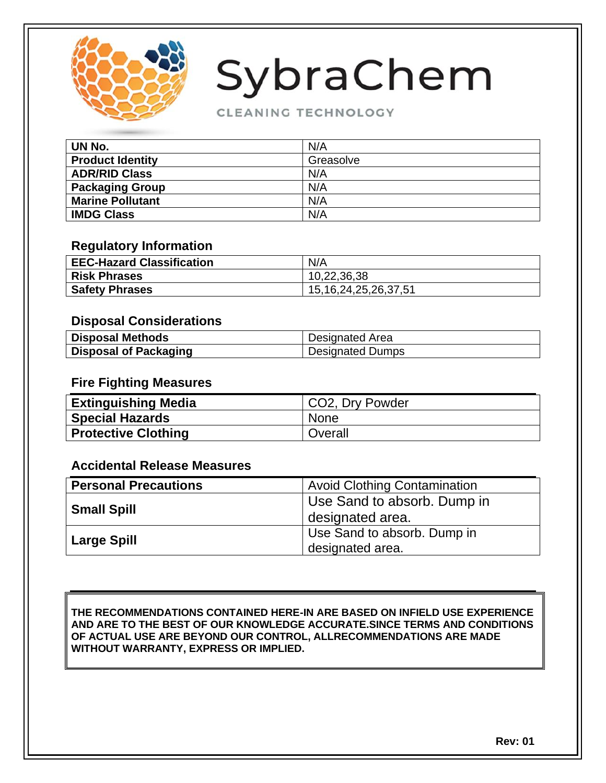

#### CLEANING TECHNOLOGY

| UN No.                  | N/A       |
|-------------------------|-----------|
| <b>Product Identity</b> | Greasolve |
| <b>ADR/RID Class</b>    | N/A       |
| <b>Packaging Group</b>  | N/A       |
| <b>Marine Pollutant</b> | N/A       |
| <b>IMDG Class</b>       | N/A       |

#### **Regulatory Information**

| <b>EEC-Hazard Classification</b> | N/A                        |
|----------------------------------|----------------------------|
| <b>Risk Phrases</b>              | 10,22,36,38                |
| <b>Safety Phrases</b>            | 15, 16, 24, 25, 26, 37, 51 |

#### **Disposal Considerations**

| <b>Disposal Methods</b>      | Designated Area         |
|------------------------------|-------------------------|
| <b>Disposal of Packaging</b> | <b>Designated Dumps</b> |

#### **Fire Fighting Measures**

| <b>Extinguishing Media</b> | CO2, Dry Powder |
|----------------------------|-----------------|
| <b>Special Hazards</b>     | None            |
| <b>Protective Clothing</b> | Overall         |

#### **Accidental Release Measures**

| <b>Personal Precautions</b> | <b>Avoid Clothing Contamination</b>             |
|-----------------------------|-------------------------------------------------|
| <b>Small Spill</b>          | Use Sand to absorb. Dump in<br>designated area. |
| <b>Large Spill</b>          | Use Sand to absorb. Dump in                     |
|                             | designated area.                                |

#### **THE RECOMMENDATIONS CONTAINED HERE-IN ARE BASED ON INFIELD USE EXPERIENCE AND ARE TO THE BEST OF OUR KNOWLEDGE ACCURATE.SINCE TERMS AND CONDITIONS OF ACTUAL USE ARE BEYOND OUR CONTROL, ALLRECOMMENDATIONS ARE MADE WITHOUT WARRANTY, EXPRESS OR IMPLIED.**